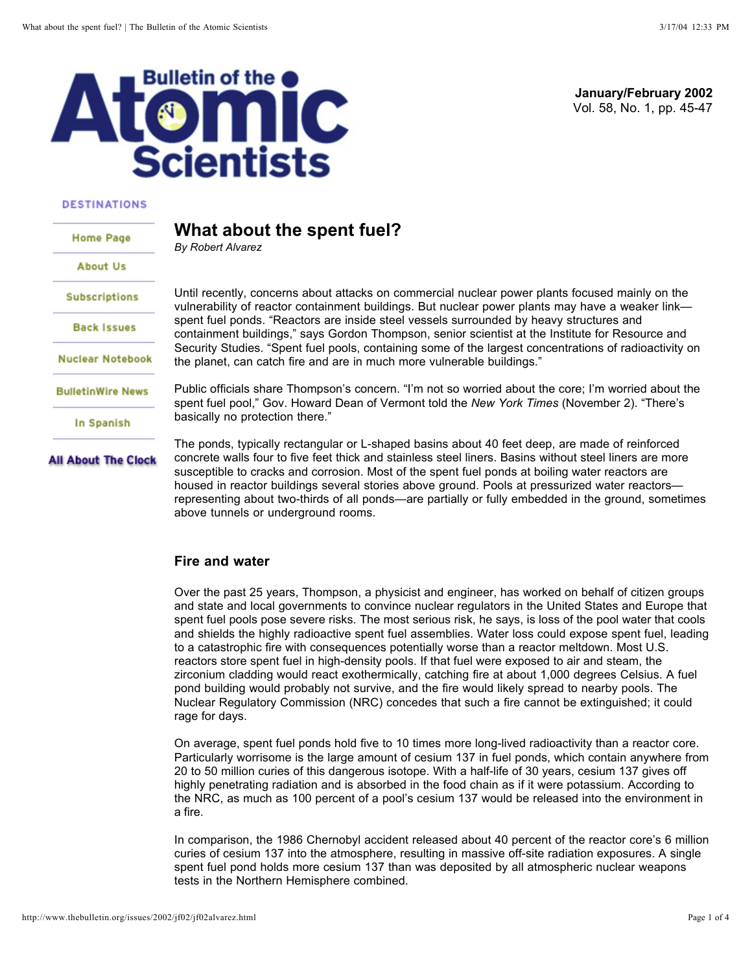

#### **DESTINATIONS**

**All About The Clock** 

# **What about the spent fuel? Home Page** *By Robert Alvarez* **About Us Subscriptions Back Issues Nuclear Notebook BulletinWire News** In Spanish

Vol. 58, No. 1, pp. 45-47 **January/February 2002**

Until recently, concerns about attacks on commercial nuclear power plants focused mainly on the vulnerability of reactor containment buildings. But nuclear power plants may have a weaker link spent fuel ponds. "Reactors are inside steel vessels surrounded by heavy structures and containment buildings," says Gordon Thompson, senior scientist at the Institute for Resource and Security Studies. "Spent fuel pools, containing some of the largest concentrations of radioactivity on the planet, can catch fire and are in much more vulnerable buildings."

Public officials share Thompson's concern. "I'm not so worried about the core; I'm worried about the spent fuel pool," Gov. Howard Dean of Vermont told the New York Times (November 2). "There's basically no protection there."

The ponds, typically rectangular or L-shaped basins about 40 feet deep, are made of reinforced concrete walls four to five feet thick and stainless steel liners. Basins without steel liners are more susceptible to cracks and corrosion. Most of the spent fuel ponds at boiling water reactors are housed in reactor buildings several stories above ground. Pools at pressurized water reactors representing about two-thirds of all ponds—are partially or fully embedded in the ground, sometimes above tunnels or underground rooms.

#### **Fire and water**

Over the past 25 years, Thompson, a physicist and engineer, has worked on behalf of citizen groups and state and local governments to convince nuclear regulators in the United States and Europe that spent fuel pools pose severe risks. The most serious risk, he says, is loss of the pool water that cools and shields the highly radioactive spent fuel assemblies. Water loss could expose spent fuel, leading to a catastrophic fire with consequences potentially worse than a reactor meltdown. Most U.S. reactors store spent fuel in high-density pools. If that fuel were exposed to air and steam, the zirconium cladding would react exothermically, catching fire at about 1,000 degrees Celsius. A fuel pond building would probably not survive, and the fire would likely spread to nearby pools. The Nuclear Regulatory Commission (NRC) concedes that such a fire cannot be extinguished; it could rage for days.

On average, spent fuel ponds hold five to 10 times more long-lived radioactivity than a reactor core. Particularly worrisome is the large amount of cesium 137 in fuel ponds, which contain anywhere from 20 to 50 million curies of this dangerous isotope. With a half-life of 30 years, cesium 137 gives off highly penetrating radiation and is absorbed in the food chain as if it were potassium. According to the NRC, as much as 100 percent of a pool's cesium 137 would be released into the environment in a fire.

In comparison, the 1986 Chernobyl accident released about 40 percent of the reactor core's 6 million curies of cesium 137 into the atmosphere, resulting in massive off-site radiation exposures. A single spent fuel pond holds more cesium 137 than was deposited by all atmospheric nuclear weapons tests in the Northern Hemisphere combined.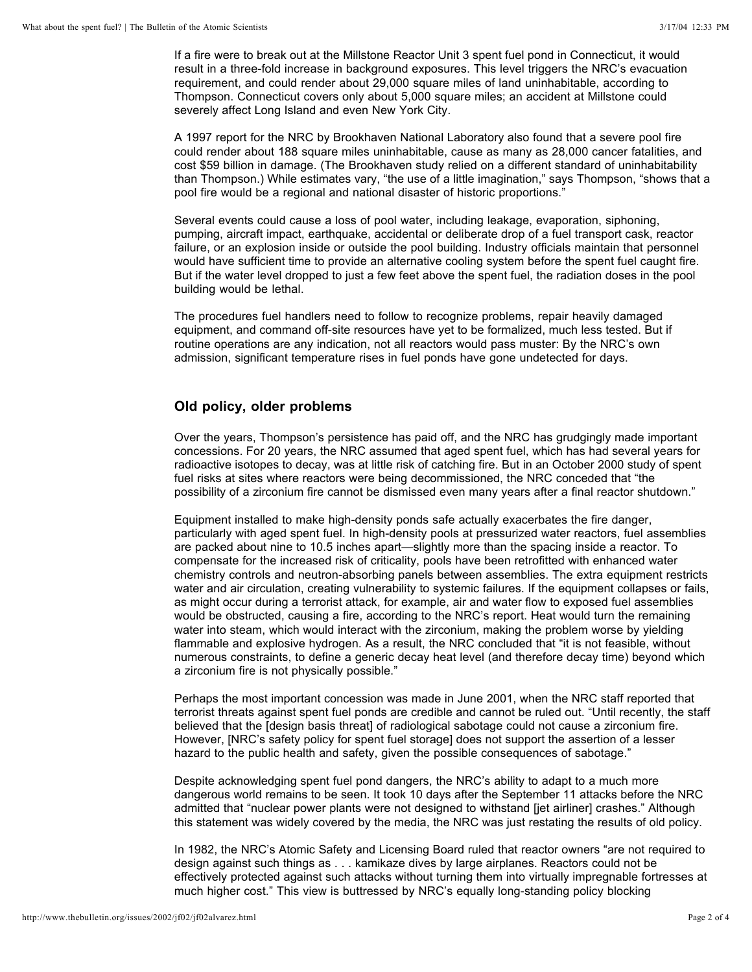If a fire were to break out at the Millstone Reactor Unit 3 spent fuel pond in Connecticut, it would result in a three-fold increase in background exposures. This level triggers the NRC's evacuation requirement, and could render about 29,000 square miles of land uninhabitable, according to Thompson. Connecticut covers only about 5,000 square miles; an accident at Millstone could severely affect Long Island and even New York City.

A 1997 report for the NRC by Brookhaven National Laboratory also found that a severe pool fire could render about 188 square miles uninhabitable, cause as many as 28,000 cancer fatalities, and cost \$59 billion in damage. (The Brookhaven study relied on a different standard of uninhabitability than Thompson.) While estimates vary, "the use of a little imagination," says Thompson, "shows that a pool fire would be a regional and national disaster of historic proportions."

Several events could cause a loss of pool water, including leakage, evaporation, siphoning, pumping, aircraft impact, earthquake, accidental or deliberate drop of a fuel transport cask, reactor failure, or an explosion inside or outside the pool building. Industry officials maintain that personnel would have sufficient time to provide an alternative cooling system before the spent fuel caught fire. But if the water level dropped to just a few feet above the spent fuel, the radiation doses in the pool building would be lethal.

The procedures fuel handlers need to follow to recognize problems, repair heavily damaged equipment, and command off-site resources have yet to be formalized, much less tested. But if routine operations are any indication, not all reactors would pass muster: By the NRC's own admission, significant temperature rises in fuel ponds have gone undetected for days.

### **Old policy, older problems**

Over the years, Thompson's persistence has paid off, and the NRC has grudgingly made important concessions. For 20 years, the NRC assumed that aged spent fuel, which has had several years for radioactive isotopes to decay, was at little risk of catching fire. But in an October 2000 study of spent fuel risks at sites where reactors were being decommissioned, the NRC conceded that "the possibility of a zirconium fire cannot be dismissed even many years after a final reactor shutdown."

Equipment installed to make high-density ponds safe actually exacerbates the fire danger, particularly with aged spent fuel. In high-density pools at pressurized water reactors, fuel assemblies are packed about nine to 10.5 inches apart—slightly more than the spacing inside a reactor. To compensate for the increased risk of criticality, pools have been retrofitted with enhanced water chemistry controls and neutron-absorbing panels between assemblies. The extra equipment restricts water and air circulation, creating vulnerability to systemic failures. If the equipment collapses or fails, as might occur during a terrorist attack, for example, air and water flow to exposed fuel assemblies would be obstructed, causing a fire, according to the NRC's report. Heat would turn the remaining water into steam, which would interact with the zirconium, making the problem worse by yielding flammable and explosive hydrogen. As a result, the NRC concluded that "it is not feasible, without numerous constraints, to define a generic decay heat level (and therefore decay time) beyond which a zirconium fire is not physically possible."

Perhaps the most important concession was made in June 2001, when the NRC staff reported that terrorist threats against spent fuel ponds are credible and cannot be ruled out. "Until recently, the staff believed that the [design basis threat] of radiological sabotage could not cause a zirconium fire. However, [NRC's safety policy for spent fuel storage] does not support the assertion of a lesser hazard to the public health and safety, given the possible consequences of sabotage."

Despite acknowledging spent fuel pond dangers, the NRC's ability to adapt to a much more dangerous world remains to be seen. It took 10 days after the September 11 attacks before the NRC admitted that "nuclear power plants were not designed to withstand [jet airliner] crashes." Although this statement was widely covered by the media, the NRC was just restating the results of old policy.

In 1982, the NRC's Atomic Safety and Licensing Board ruled that reactor owners "are not required to design against such things as . . . kamikaze dives by large airplanes. Reactors could not be effectively protected against such attacks without turning them into virtually impregnable fortresses at much higher cost." This view is buttressed by NRC's equally long-standing policy blocking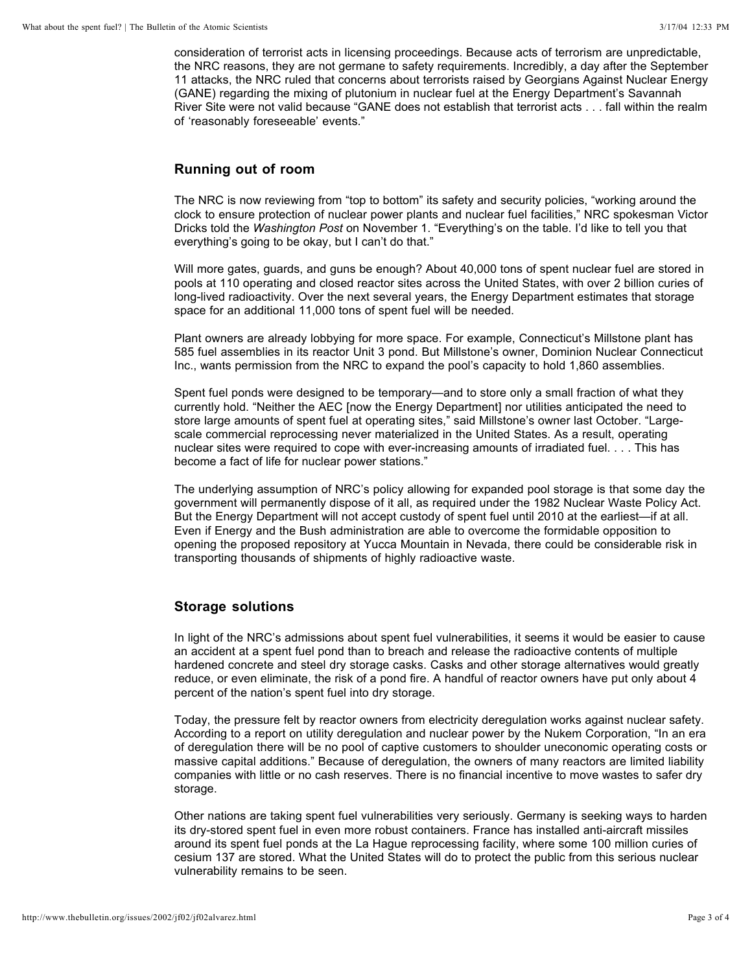consideration of terrorist acts in licensing proceedings. Because acts of terrorism are unpredictable, the NRC reasons, they are not germane to safety requirements. Incredibly, a day after the September 11 attacks, the NRC ruled that concerns about terrorists raised by Georgians Against Nuclear Energy (GANE) regarding the mixing of plutonium in nuclear fuel at the Energy Department's Savannah River Site were not valid because "GANE does not establish that terrorist acts . . . fall within the realm of 'reasonably foreseeable' events."

### **Running out of room**

The NRC is now reviewing from "top to bottom" its safety and security policies, "working around the clock to ensure protection of nuclear power plants and nuclear fuel facilities," NRC spokesman Victor Dricks told the Washington Post on November 1. "Everything's on the table. I'd like to tell you that everything's going to be okay, but I can't do that."

Will more gates, guards, and guns be enough? About 40,000 tons of spent nuclear fuel are stored in pools at 110 operating and closed reactor sites across the United States, with over 2 billion curies of long-lived radioactivity. Over the next several years, the Energy Department estimates that storage space for an additional 11,000 tons of spent fuel will be needed.

Plant owners are already lobbying for more space. For example, Connecticut's Millstone plant has 585 fuel assemblies in its reactor Unit 3 pond. But Millstone's owner, Dominion Nuclear Connecticut Inc., wants permission from the NRC to expand the pool's capacity to hold 1,860 assemblies.

Spent fuel ponds were designed to be temporary—and to store only a small fraction of what they currently hold. "Neither the AEC [now the Energy Department] nor utilities anticipated the need to store large amounts of spent fuel at operating sites," said Millstone's owner last October. "Largescale commercial reprocessing never materialized in the United States. As a result, operating nuclear sites were required to cope with ever-increasing amounts of irradiated fuel. . . . This has become a fact of life for nuclear power stations."

The underlying assumption of NRC's policy allowing for expanded pool storage is that some day the government will permanently dispose of it all, as required under the 1982 Nuclear Waste Policy Act. But the Energy Department will not accept custody of spent fuel until 2010 at the earliest—if at all. Even if Energy and the Bush administration are able to overcome the formidable opposition to opening the proposed repository at Yucca Mountain in Nevada, there could be considerable risk in transporting thousands of shipments of highly radioactive waste.

## **Storage solutions**

In light of the NRC's admissions about spent fuel vulnerabilities, it seems it would be easier to cause an accident at a spent fuel pond than to breach and release the radioactive contents of multiple hardened concrete and steel dry storage casks. Casks and other storage alternatives would greatly reduce, or even eliminate, the risk of a pond fire. A handful of reactor owners have put only about 4 percent of the nation's spent fuel into dry storage.

Today, the pressure felt by reactor owners from electricity deregulation works against nuclear safety. According to a report on utility deregulation and nuclear power by the Nukem Corporation, "In an era of deregulation there will be no pool of captive customers to shoulder uneconomic operating costs or massive capital additions." Because of deregulation, the owners of many reactors are limited liability companies with little or no cash reserves. There is no financial incentive to move wastes to safer dry storage.

Other nations are taking spent fuel vulnerabilities very seriously. Germany is seeking ways to harden its dry-stored spent fuel in even more robust containers. France has installed anti-aircraft missiles around its spent fuel ponds at the La Hague reprocessing facility, where some 100 million curies of cesium 137 are stored. What the United States will do to protect the public from this serious nuclear vulnerability remains to be seen.